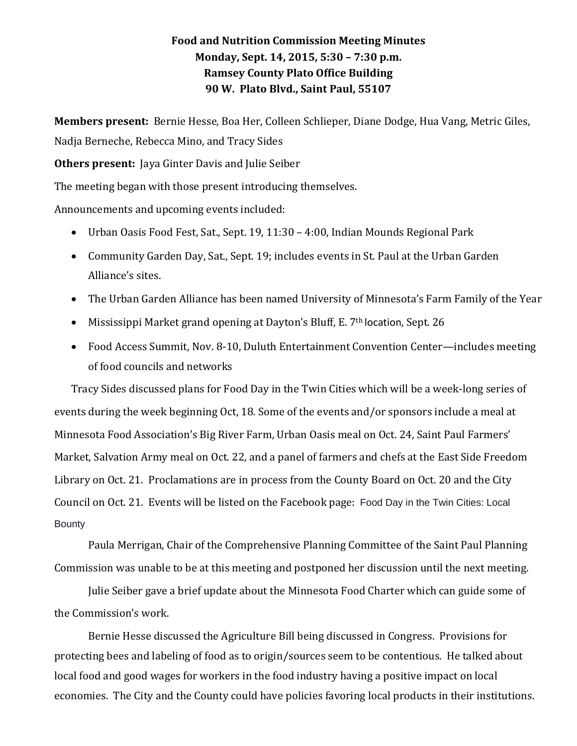## **Food and Nutrition Commission Meeting Minutes Monday, Sept. 14, 2015, 5:30 – 7:30 p.m. Ramsey County Plato Office Building 90 W. Plato Blvd., Saint Paul, 55107**

**Members present:** Bernie Hesse, Boa Her, Colleen Schlieper, Diane Dodge, Hua Vang, Metric Giles, Nadja Berneche, Rebecca Mino, and Tracy Sides

**Others present:** Jaya Ginter Davis and Julie Seiber

The meeting began with those present introducing themselves.

Announcements and upcoming events included:

- Urban Oasis Food Fest, Sat., Sept. 19, 11:30 4:00, Indian Mounds Regional Park
- Community Garden Day, Sat., Sept. 19; includes events in St. Paul at the Urban Garden Alliance's sites.
- The Urban Garden Alliance has been named University of Minnesota's Farm Family of the Year
- Mississippi Market grand opening at Dayton's Bluff, E. 7<sup>th</sup> location, Sept. 26
- Food Access Summit, Nov. 8-10, Duluth Entertainment Convention Center—includes meeting of food councils and networks

Tracy Sides discussed plans for Food Day in the Twin Cities which will be a week-long series of events during the week beginning Oct, 18. Some of the events and/or sponsors include a meal at Minnesota Food Association's Big River Farm, Urban Oasis meal on Oct. 24, Saint Paul Farmers' Market, Salvation Army meal on Oct. 22, and a panel of farmers and chefs at the East Side Freedom Library on Oct. 21. Proclamations are in process from the County Board on Oct. 20 and the City Council on Oct. 21. Events will be listed on the Facebook page: Food Day in the Twin Cities: Local **Bounty** 

Paula Merrigan, Chair of the Comprehensive Planning Committee of the Saint Paul Planning Commission was unable to be at this meeting and postponed her discussion until the next meeting.

Julie Seiber gave a brief update about the Minnesota Food Charter which can guide some of the Commission's work.

Bernie Hesse discussed the Agriculture Bill being discussed in Congress. Provisions for protecting bees and labeling of food as to origin/sources seem to be contentious. He talked about local food and good wages for workers in the food industry having a positive impact on local economies. The City and the County could have policies favoring local products in their institutions.